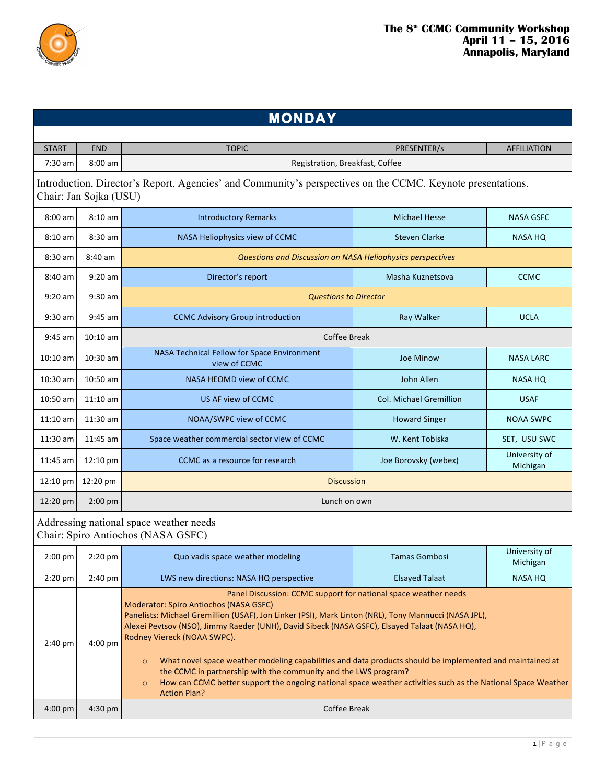

| <b>MONDAY</b>                                                                 |                                                                                                                                                                          |                                                                                                                                                                                                                                                                                                                                                                                                                                                                                                                                                                                                                                                                                               |                                |                           |  |  |
|-------------------------------------------------------------------------------|--------------------------------------------------------------------------------------------------------------------------------------------------------------------------|-----------------------------------------------------------------------------------------------------------------------------------------------------------------------------------------------------------------------------------------------------------------------------------------------------------------------------------------------------------------------------------------------------------------------------------------------------------------------------------------------------------------------------------------------------------------------------------------------------------------------------------------------------------------------------------------------|--------------------------------|---------------------------|--|--|
|                                                                               |                                                                                                                                                                          |                                                                                                                                                                                                                                                                                                                                                                                                                                                                                                                                                                                                                                                                                               |                                |                           |  |  |
| <b>START</b><br>$7:30$ am                                                     | <b>END</b><br>$8:00$ am                                                                                                                                                  | <b>TOPIC</b>                                                                                                                                                                                                                                                                                                                                                                                                                                                                                                                                                                                                                                                                                  | PRESENTER/s                    | <b>AFFILIATION</b>        |  |  |
|                                                                               | Registration, Breakfast, Coffee<br>Introduction, Director's Report. Agencies' and Community's perspectives on the CCMC. Keynote presentations.<br>Chair: Jan Sojka (USU) |                                                                                                                                                                                                                                                                                                                                                                                                                                                                                                                                                                                                                                                                                               |                                |                           |  |  |
| $8:00$ am                                                                     | $8:10$ am                                                                                                                                                                | <b>Introductory Remarks</b>                                                                                                                                                                                                                                                                                                                                                                                                                                                                                                                                                                                                                                                                   | <b>Michael Hesse</b>           | <b>NASA GSFC</b>          |  |  |
| $8:10$ am                                                                     | 8:30 am                                                                                                                                                                  | NASA Heliophysics view of CCMC                                                                                                                                                                                                                                                                                                                                                                                                                                                                                                                                                                                                                                                                | <b>Steven Clarke</b>           | <b>NASA HQ</b>            |  |  |
| $8:30$ am                                                                     | 8:40 am                                                                                                                                                                  | Questions and Discussion on NASA Heliophysics perspectives                                                                                                                                                                                                                                                                                                                                                                                                                                                                                                                                                                                                                                    |                                |                           |  |  |
| $8:40$ am                                                                     | $9:20$ am                                                                                                                                                                | Director's report                                                                                                                                                                                                                                                                                                                                                                                                                                                                                                                                                                                                                                                                             | Masha Kuznetsova               | <b>CCMC</b>               |  |  |
| $9:20$ am                                                                     | $9:30$ am                                                                                                                                                                | <b>Questions to Director</b>                                                                                                                                                                                                                                                                                                                                                                                                                                                                                                                                                                                                                                                                  |                                |                           |  |  |
| $9:30$ am                                                                     | $9:45$ am                                                                                                                                                                | <b>CCMC Advisory Group introduction</b>                                                                                                                                                                                                                                                                                                                                                                                                                                                                                                                                                                                                                                                       | Ray Walker                     | <b>UCLA</b>               |  |  |
| $9:45$ am                                                                     | $10:10$ am                                                                                                                                                               | Coffee Break                                                                                                                                                                                                                                                                                                                                                                                                                                                                                                                                                                                                                                                                                  |                                |                           |  |  |
| $10:10$ am                                                                    | $10:30$ am                                                                                                                                                               | NASA Technical Fellow for Space Environment<br>view of CCMC                                                                                                                                                                                                                                                                                                                                                                                                                                                                                                                                                                                                                                   | Joe Minow                      | <b>NASA LARC</b>          |  |  |
| $10:30$ am                                                                    | $10:50$ am                                                                                                                                                               | NASA HEOMD view of CCMC                                                                                                                                                                                                                                                                                                                                                                                                                                                                                                                                                                                                                                                                       | John Allen                     | <b>NASA HQ</b>            |  |  |
| $10:50$ am                                                                    | $11:10$ am                                                                                                                                                               | US AF view of CCMC                                                                                                                                                                                                                                                                                                                                                                                                                                                                                                                                                                                                                                                                            | <b>Col. Michael Gremillion</b> | <b>USAF</b>               |  |  |
| $11:10$ am                                                                    | 11:30 am                                                                                                                                                                 | NOAA/SWPC view of CCMC                                                                                                                                                                                                                                                                                                                                                                                                                                                                                                                                                                                                                                                                        | <b>Howard Singer</b>           | <b>NOAA SWPC</b>          |  |  |
| 11:30 am                                                                      | 11:45 am                                                                                                                                                                 | Space weather commercial sector view of CCMC                                                                                                                                                                                                                                                                                                                                                                                                                                                                                                                                                                                                                                                  | W. Kent Tobiska                | SET, USU SWC              |  |  |
| 11:45 am                                                                      | 12:10 pm                                                                                                                                                                 | CCMC as a resource for research                                                                                                                                                                                                                                                                                                                                                                                                                                                                                                                                                                                                                                                               | Joe Borovsky (webex)           | University of<br>Michigan |  |  |
| 12:10 pm                                                                      | 12:20 pm                                                                                                                                                                 | <b>Discussion</b>                                                                                                                                                                                                                                                                                                                                                                                                                                                                                                                                                                                                                                                                             |                                |                           |  |  |
| 12:20 pm                                                                      | $2:00$ pm                                                                                                                                                                | Lunch on own                                                                                                                                                                                                                                                                                                                                                                                                                                                                                                                                                                                                                                                                                  |                                |                           |  |  |
| Addressing national space weather needs<br>Chair: Spiro Antiochos (NASA GSFC) |                                                                                                                                                                          |                                                                                                                                                                                                                                                                                                                                                                                                                                                                                                                                                                                                                                                                                               |                                |                           |  |  |
| 2:00 pm                                                                       | $2:20$ pm                                                                                                                                                                | Quo vadis space weather modeling                                                                                                                                                                                                                                                                                                                                                                                                                                                                                                                                                                                                                                                              | <b>Tamas Gombosi</b>           | University of<br>Michigan |  |  |
| $2:20$ pm                                                                     | $2:40 \text{ pm}$                                                                                                                                                        | LWS new directions: NASA HQ perspective                                                                                                                                                                                                                                                                                                                                                                                                                                                                                                                                                                                                                                                       | <b>Elsayed Talaat</b>          | <b>NASA HQ</b>            |  |  |
| 2:40 pm                                                                       | $4:00$ pm                                                                                                                                                                | Panel Discussion: CCMC support for national space weather needs<br>Moderator: Spiro Antiochos (NASA GSFC)<br>Panelists: Michael Gremillion (USAF), Jon Linker (PSI), Mark Linton (NRL), Tony Mannucci (NASA JPL),<br>Alexei Pevtsov (NSO), Jimmy Raeder (UNH), David Sibeck (NASA GSFC), Elsayed Talaat (NASA HQ),<br>Rodney Viereck (NOAA SWPC).<br>What novel space weather modeling capabilities and data products should be implemented and maintained at<br>$\circ$<br>the CCMC in partnership with the community and the LWS program?<br>How can CCMC better support the ongoing national space weather activities such as the National Space Weather<br>$\circ$<br><b>Action Plan?</b> |                                |                           |  |  |
| $4:00$ pm                                                                     | $4:30$ pm                                                                                                                                                                | <b>Coffee Break</b>                                                                                                                                                                                                                                                                                                                                                                                                                                                                                                                                                                                                                                                                           |                                |                           |  |  |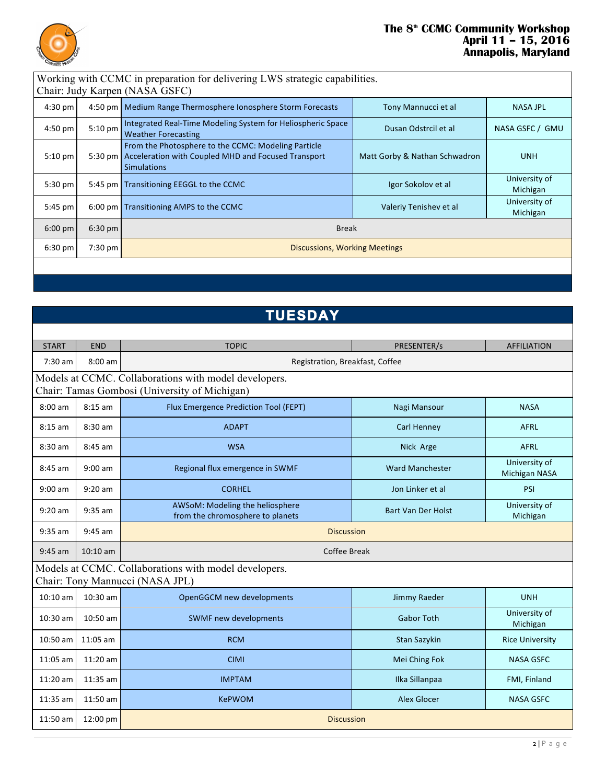

### The 8<sup>th</sup> CCMC Community Workshop **April 11 – 15, 2016 Annapolis, Maryland**

# Working with CCMC in preparation for delivering LWS strategic capabilities.

| Chair: Judy Karpen (NASA GSFC) |           |                                                                                                                                  |                               |                           |  |  |
|--------------------------------|-----------|----------------------------------------------------------------------------------------------------------------------------------|-------------------------------|---------------------------|--|--|
| $4:30 \text{ pm}$              | $4:50$ pm | Medium Range Thermosphere Ionosphere Storm Forecasts                                                                             | Tony Mannucci et al           | <b>NASA JPL</b>           |  |  |
| $4:50$ pm                      | $5:10$ pm | Integrated Real-Time Modeling System for Heliospheric Space<br><b>Weather Forecasting</b>                                        | Dusan Odstrcil et al          | NASA GSFC / GMU           |  |  |
| 5:10 pm                        | $5:30$ pm | From the Photosphere to the CCMC: Modeling Particle<br>Acceleration with Coupled MHD and Focused Transport<br><b>Simulations</b> | Matt Gorby & Nathan Schwadron | <b>UNH</b>                |  |  |
| $5:30$ pm                      | 5:45 pm   | Transitioning EEGGL to the CCMC                                                                                                  | Igor Sokolov et al            | University of<br>Michigan |  |  |
| 5:45 pm                        | $6:00$ pm | Transitioning AMPS to the CCMC                                                                                                   | Valeriy Tenishev et al        | University of<br>Michigan |  |  |
| $6:00 \text{ pm}$              | $6:30$ pm | <b>Break</b>                                                                                                                     |                               |                           |  |  |
| $6:30$ pm                      | $7:30$ pm | <b>Discussions, Working Meetings</b>                                                                                             |                               |                           |  |  |
|                                |           |                                                                                                                                  |                               |                           |  |  |

# **ESDAY** START  $\begin{bmatrix} \text{END} \end{bmatrix}$  END  $\begin{bmatrix} \text{N-1} \end{bmatrix}$  are to  $\begin{bmatrix} \text{TD} \end{bmatrix}$  . Topic  $\begin{bmatrix} \text{N-2} \end{bmatrix}$  are the set of  $\begin{bmatrix} \text{N-3} \end{bmatrix}$  are the set of  $\begin{bmatrix} \text{N-1} \end{bmatrix}$  are the set of  $\begin{bmatrix} \text{N-3} \end{bmatrix}$  a 7:30 am 8:00 am 8:00 am 8:00 am 8:00 am 8:00 am 8:00 am 8:00 am 8:00 am 8:00 am 8:00 am 8:00 am 8:00 am 8:00 am 8:00 am 8:00 am 8:00 am 8:00 am 8:00 am 8:00 am 8:00 am 8:00 am 8:00 am 8:00 am 8:00 am 8:00 am 8:00 am 8:00 a Models at CCMC. Collaborations with model developers. Chair: Tamas Gombosi (University of Michigan) 8:00 am | 8:15 am | Flux Emergence Prediction Tool (FEPT) Nagi Mansour | NASA 8:15 am 8:30 am ADAPT Carl Henney AFRL 8:30 am | 8:45 am | Nick Arge AFRL Arge AFRL Arge AFRL Arge AFRL Arge AFRL Arge AFRL Arge AFRL Arge AFRL Arge AFRL Arge AFRL Arge AFRL Arge AFRL Arge AFRL Arge AFRL Arge AFRL Arge AFRL Arge AFRL Arge AFRL Arge Afrace Arge 8:45 am 9:00 am Regional flux emergence in SWMF Ward Manchester University of Michigan NASA 9:00 am 9:20 am CORHEL Jon Linker et al PSI 9:20 am 9:35 am AWSoM: Modeling the heliosphere AWSoM: Modeling the heliosphere **Accord Controller Bart** Van Der Holst University of from the chromosphere to planets and Der Bart Van Der Holst University of the Controller of the Controller Bart Van Der Holst Der Michiga Michigan **9:35** am **9:45** am **Discussion** 9:45 am | 10:10 am | Coffee Break Models at CCMC. Collaborations with model developers. Chair: Tony Mannucci (NASA JPL) 10:10 am | 10:30 am | OpenGGCM new developments | Jimmy Raeder | UNH 10:30 am 10:50 am SWMF new developments Controlled and Gabor Toth University of Michigan 10:50 am | 11:05 am | Nice University RCM Stan Sazykin Nice University Rice University Research Research Rice University 11:05 am | 11:20 am | CIMI Mei Ching Fok NASA GSFC 11:20 am | 11:35 am | IMPTAM Ilka Sillanpaa FMI, Finland 11:35 am | 11:50 am | KePWOM Alex Glocer NASA GSFC 11:50 am 12:00 pm Discussion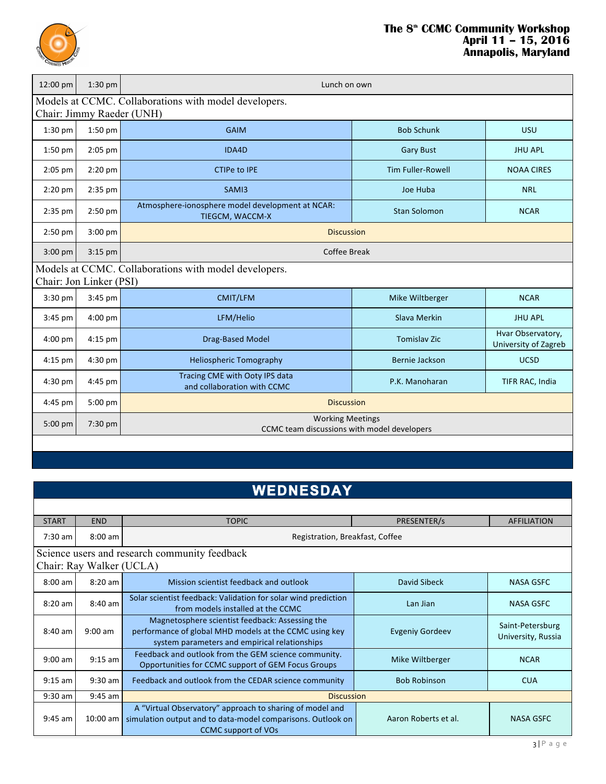

### **The 8th CCMC Community Workshop April 11 – 15, 2016 Annapolis, Maryland**

| 12:00 pm                                                                           | 1:30 pm           | Lunch on own                                                           |                          |                                           |  |  |
|------------------------------------------------------------------------------------|-------------------|------------------------------------------------------------------------|--------------------------|-------------------------------------------|--|--|
| Models at CCMC. Collaborations with model developers.<br>Chair: Jimmy Raeder (UNH) |                   |                                                                        |                          |                                           |  |  |
| 1:30 pm                                                                            | 1:50 pm           | <b>GAIM</b>                                                            | <b>Bob Schunk</b>        | <b>USU</b>                                |  |  |
| $1:50$ pm                                                                          | 2:05 pm           | IDA4D                                                                  | <b>Gary Bust</b>         | <b>JHU APL</b>                            |  |  |
| 2:05 pm                                                                            | 2:20 pm           | <b>CTIPe to IPE</b>                                                    | <b>Tim Fuller-Rowell</b> | <b>NOAA CIRES</b>                         |  |  |
| $2:20$ pm                                                                          | $2:35$ pm         | SAMI3                                                                  | Joe Huba                 | <b>NRL</b>                                |  |  |
| $2:35$ pm                                                                          | 2:50 pm           | Atmosphere-ionosphere model development at NCAR:<br>TIEGCM, WACCM-X    | <b>Stan Solomon</b>      | <b>NCAR</b>                               |  |  |
| 2:50 pm                                                                            | $3:00$ pm         | <b>Discussion</b>                                                      |                          |                                           |  |  |
| $3:00$ pm                                                                          | $3:15$ pm         | Coffee Break                                                           |                          |                                           |  |  |
| Models at CCMC. Collaborations with model developers.<br>Chair: Jon Linker (PSI)   |                   |                                                                        |                          |                                           |  |  |
| 3:30 pm                                                                            | 3:45 pm           | CMIT/LFM                                                               | Mike Wiltberger          | <b>NCAR</b>                               |  |  |
| 3:45 pm                                                                            | $4:00 \text{ pm}$ | LFM/Helio                                                              | Slava Merkin             | <b>JHU APL</b>                            |  |  |
| $4:00$ pm                                                                          | $4:15$ pm         | <b>Drag-Based Model</b>                                                | <b>Tomislay Zic</b>      | Hvar Observatory,<br>University of Zagreb |  |  |
| $4:15$ pm                                                                          | 4:30 pm           | <b>Heliospheric Tomography</b>                                         | Bernie Jackson           | <b>UCSD</b>                               |  |  |
| $4:30$ pm                                                                          | $4:45$ pm         | Tracing CME with Ooty IPS data<br>and collaboration with CCMC          | P.K. Manoharan           | TIFR RAC, India                           |  |  |
| 4:45 pm                                                                            | 5:00 pm           | <b>Discussion</b>                                                      |                          |                                           |  |  |
| $5:00$ pm                                                                          | 7:30 pm           | <b>Working Meetings</b><br>CCMC team discussions with model developers |                          |                                           |  |  |

# **WEDNESDAY**

| <b>START</b> | <b>END</b>               | <b>TOPIC</b>                                                                                                                                                      | PRESENTER/S            | <b>AFFILIATION</b>                     |
|--------------|--------------------------|-------------------------------------------------------------------------------------------------------------------------------------------------------------------|------------------------|----------------------------------------|
| $7:30$ am    | $8:00$ am                | Registration, Breakfast, Coffee                                                                                                                                   |                        |                                        |
|              |                          | Science users and research community feedback                                                                                                                     |                        |                                        |
|              | Chair: Ray Walker (UCLA) |                                                                                                                                                                   |                        |                                        |
| $8:00$ am    | $8:20$ am                | Mission scientist feedback and outlook                                                                                                                            | David Sibeck           | NASA GSFC                              |
| $8:20$ am    | $8:40$ am                | Solar scientist feedback: Validation for solar wind prediction<br>from models installed at the CCMC                                                               | Lan Jian               | <b>NASA GSFC</b>                       |
| $8:40$ am    | $9:00$ am                | Magnetosphere scientist feedback: Assessing the<br>performance of global MHD models at the CCMC using key<br>system parameters and empirical relationships        | <b>Evgeniy Gordeev</b> | Saint-Petersburg<br>University, Russia |
| $9:00$ am    | $9:15$ am                | Feedback and outlook from the GEM science community.<br>Opportunities for CCMC support of GEM Focus Groups                                                        | Mike Wiltberger        | <b>NCAR</b>                            |
| $9:15$ am    | $9:30$ am                | Feedback and outlook from the CEDAR science community                                                                                                             | <b>Bob Robinson</b>    | <b>CUA</b>                             |
| $9:30$ am    | $9:45$ am                | <b>Discussion</b>                                                                                                                                                 |                        |                                        |
| $9:45$ am    | $10:00$ am               | A "Virtual Observatory" approach to sharing of model and<br>simulation output and to data-model comparisons. Outlook on<br><b>CCMC</b> support of VO <sub>s</sub> | Aaron Roberts et al.   | <b>NASA GSFC</b>                       |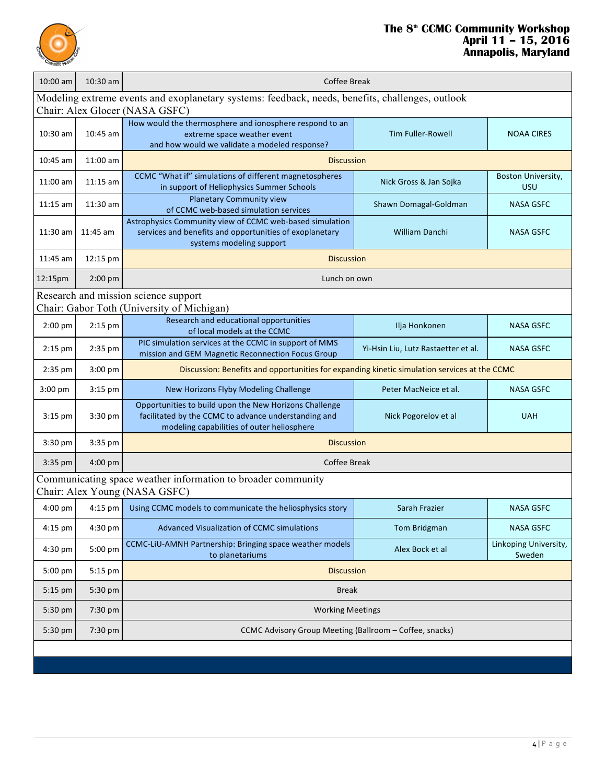

### **The 8th CCMC Community Workshop April 11 – 15, 2016 Annapolis, Maryland**

| 10:00 am                                                                                         | $10:30$ am | Coffee Break                                                                                                                                                 |                                     |                                  |  |
|--------------------------------------------------------------------------------------------------|------------|--------------------------------------------------------------------------------------------------------------------------------------------------------------|-------------------------------------|----------------------------------|--|
| Modeling extreme events and exoplanetary systems: feedback, needs, benefits, challenges, outlook |            |                                                                                                                                                              |                                     |                                  |  |
|                                                                                                  |            | Chair: Alex Glocer (NASA GSFC)                                                                                                                               |                                     |                                  |  |
| $10:30$ am                                                                                       | $10:45$ am | How would the thermosphere and ionosphere respond to an<br>extreme space weather event<br>and how would we validate a modeled response?                      | <b>Tim Fuller-Rowell</b>            | <b>NOAA CIRES</b>                |  |
| $10:45$ am                                                                                       | 11:00 am   | <b>Discussion</b>                                                                                                                                            |                                     |                                  |  |
| $11:00$ am                                                                                       | $11:15$ am | CCMC "What if" simulations of different magnetospheres<br>in support of Heliophysics Summer Schools                                                          | Nick Gross & Jan Sojka              | Boston University,<br><b>USU</b> |  |
| $11:15$ am                                                                                       | $11:30$ am | <b>Planetary Community view</b><br>of CCMC web-based simulation services                                                                                     | Shawn Domagal-Goldman               | <b>NASA GSFC</b>                 |  |
| $11:30$ am                                                                                       | 11:45 am   | Astrophysics Community view of CCMC web-based simulation<br>services and benefits and opportunities of exoplanetary<br>systems modeling support              | <b>William Danchi</b>               | <b>NASA GSFC</b>                 |  |
| $11:45$ am                                                                                       | 12:15 pm   | <b>Discussion</b>                                                                                                                                            |                                     |                                  |  |
| 12:15pm                                                                                          | $2:00$ pm  | Lunch on own                                                                                                                                                 |                                     |                                  |  |
|                                                                                                  |            | Research and mission science support                                                                                                                         |                                     |                                  |  |
|                                                                                                  |            | Chair: Gabor Toth (University of Michigan)                                                                                                                   |                                     |                                  |  |
| 2:00 pm                                                                                          | $2:15$ pm  | Research and educational opportunities<br>of local models at the CCMC                                                                                        | Ilja Honkonen                       | <b>NASA GSFC</b>                 |  |
| 2:15 pm                                                                                          | 2:35 pm    | PIC simulation services at the CCMC in support of MMS<br>mission and GEM Magnetic Reconnection Focus Group                                                   | Yi-Hsin Liu, Lutz Rastaetter et al. | <b>NASA GSFC</b>                 |  |
| 2:35 pm                                                                                          | $3:00$ pm  | Discussion: Benefits and opportunities for expanding kinetic simulation services at the CCMC                                                                 |                                     |                                  |  |
| $3:00$ pm                                                                                        | 3:15 pm    | New Horizons Flyby Modeling Challenge                                                                                                                        | Peter MacNeice et al.               | <b>NASA GSFC</b>                 |  |
| $3:15$ pm                                                                                        | 3:30 pm    | Opportunities to build upon the New Horizons Challenge<br>facilitated by the CCMC to advance understanding and<br>modeling capabilities of outer heliosphere | Nick Pogorelov et al                | <b>UAH</b>                       |  |
| $3:30$ pm                                                                                        | 3:35 pm    | <b>Discussion</b>                                                                                                                                            |                                     |                                  |  |
| $3:35$ pm                                                                                        | 4:00 pm    | <b>Coffee Break</b>                                                                                                                                          |                                     |                                  |  |
| Communicating space weather information to broader community<br>Chair: Alex Young (NASA GSFC)    |            |                                                                                                                                                              |                                     |                                  |  |
| $4:00$ pm                                                                                        | $4:15$ pm  | Using CCMC models to communicate the heliosphysics story                                                                                                     | Sarah Frazier                       | <b>NASA GSFC</b>                 |  |
| 4:15 pm                                                                                          | 4:30 pm    | Advanced Visualization of CCMC simulations                                                                                                                   | <b>Tom Bridgman</b>                 | <b>NASA GSFC</b>                 |  |
| 4:30 pm                                                                                          | 5:00 pm    | CCMC-LiU-AMNH Partnership: Bringing space weather models<br>to planetariums                                                                                  | Alex Bock et al                     | Linkoping University,<br>Sweden  |  |
| 5:00 pm                                                                                          | $5:15$ pm  | <b>Discussion</b>                                                                                                                                            |                                     |                                  |  |
| 5:15 pm                                                                                          | 5:30 pm    | <b>Break</b>                                                                                                                                                 |                                     |                                  |  |
| 5:30 pm                                                                                          | 7:30 pm    | <b>Working Meetings</b>                                                                                                                                      |                                     |                                  |  |
| 5:30 pm                                                                                          | $7:30$ pm  | CCMC Advisory Group Meeting (Ballroom - Coffee, snacks)                                                                                                      |                                     |                                  |  |
|                                                                                                  |            |                                                                                                                                                              |                                     |                                  |  |
|                                                                                                  |            |                                                                                                                                                              |                                     |                                  |  |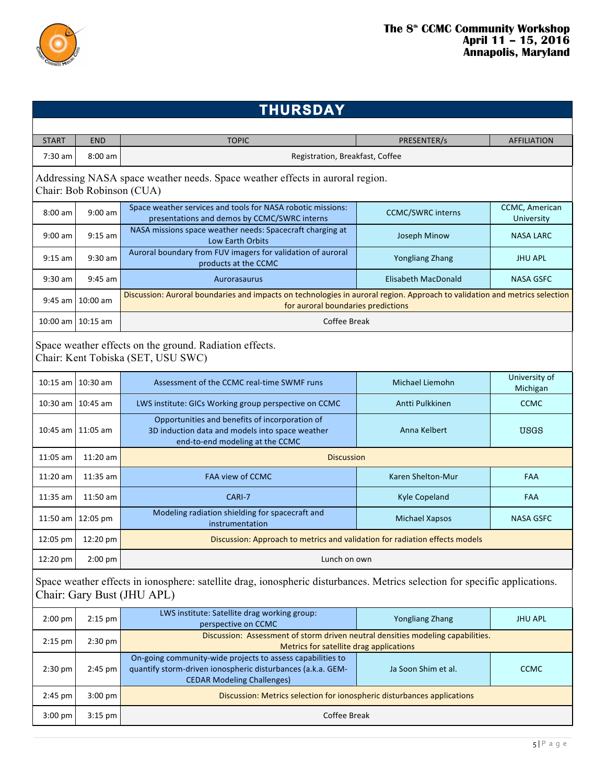

# **THURSDAY**  START END TOPIC PRESENTER/s AFFILIATION 7:30 am | 8:00 am | Registration, Breakfast, Coffee Addressing NASA space weather needs. Space weather effects in auroral region. Chair: Bob Robinson (CUA) 8:00 am 9:00 am Space weather services and tools for NASA robotic missions: e weather services and tools for NASA robotic missions: <br>
presentations and demos by CCMC/SWRC interns University<br>
University University 9:00 am 9:15 am NASA missions space weather needs: Spacecraft charging at weather heeds. Spacecraft Charging at Theory Joseph Minow NASA LARC<br>Low Earth Orbits 9:15 am 9:30 am Auroral boundary from FUV imagers for validation of auroral products at the CCMC **COMPUTE 1999** Yongliang Zhang Medicine at the CCMC 9:30 am | 9:45 am | NASA GSFC | Aurorasaurus | Elisabeth MacDonald | NASA GSFC 9:45 am 10:00 am **Discussion:** Auroral boundaries and impacts on technologies in auroral region. Approach to validation and metrics selection for auroral boundaries predictions 10:00 am 10:15 am 2000 am 20:00 am 20:00 am 20:00 am 20:00 am 20:00 am 20:00 am 20:00 am 20:00 am 20:00 am 20:0 Space weather effects on the ground. Radiation effects. Chair: Kent Tobiska (SET, USU SWC) 10:15 am 10:30 am Assessment of the CCMC real-time SWMF runs Michael Liemohn Muslemonn Michigan 10:30 am | 10:45 am | LWS institute: GICs Working group perspective on CCMC | Antti Pulkkinen | CCMC 10:45 am 11:05 am Opportunities and benefits of incorporation of 3D induction data and models into space weather end-to-end modeling at the CCMC Anna Kelbert **USGS** 11:05 am 2011:20 am 2012 - Annual March 2014 - Annual March 2014 - Annual March 2014 - Discussion 11:20 am | 11:35 am | FAA view of CCMC Karen Shelton-Mur FAA 11:35 am | 11:50 am | CARI-7 Kyle Copeland FAA 11:50 am 12:05 pm Modeling radiation shielding for spacecraft and instrumentation and the Michael Xapsos NASA GSFC 12:05 pm | 12:20 pm | Discussion: Approach to metrics and validation for radiation effects models 12:20 pm 2:00 pm 2:00 pm 2:00 pm 2:00 pm  $\sim$  2.00 pm  $\sim$  2.00 pm  $\sim$  2.00 pm  $\sim$  2.00 pm  $\sim$  2.00 pm  $\sim$  2.00 pm  $\sim$  2.00 pm  $\sim$  2.00 pm  $\sim$  2.00 pm  $\sim$  2.00 pm  $\sim$  2.00 pm  $\sim$  2.00 pm  $\sim$  2.00 pm  $\sim$  2.00 pm Space weather effects in ionosphere: satellite drag, ionospheric disturbances. Metrics selection for specific applications. Chair: Gary Bust (JHU APL) 2:00 pm 2:15 pm LWS institute: Satellite drag working group: nce. Satellite that working group.<br>  $\begin{array}{|l|l|}\n\hline\n\end{array}$  Yongliang Zhang  $\begin{array}{|l|l|}\n\hline\n\end{array}$  JHU APL 2:15 pm 2:30 pm Discussion: Assessment of storm driven neutral densities modeling capabilities. Metrics for satellite drag applications 2:30 pm 2:45 pm On-going community-wide projects to assess capabilities to quantify storm-driven ionospheric disturbances (a.k.a. GEM-CEDAR Modeling Challenges) Ja Soon Shim et al. **In the Solution CCMC** 2:45 pm 3:00 pm 3:00 pm  $\blacksquare$ 3:00 pm 3:15 pm 3:15 pm 3:15 pm 3:15 pm 3:15 pm 3:15 pm 3:15 pm 3:15 pm 3:15 pm 3:15 pm 3:15 pm 3:15 pm 3:15 pm 3:15 pm 3:15 pm 3:15 pm 3:15 pm 3:15 pm 3:15 pm 3:15 pm 3:15 pm 3:15 pm 3:15 pm 3:15 pm 3:15 pm 3:15 pm 3:15 p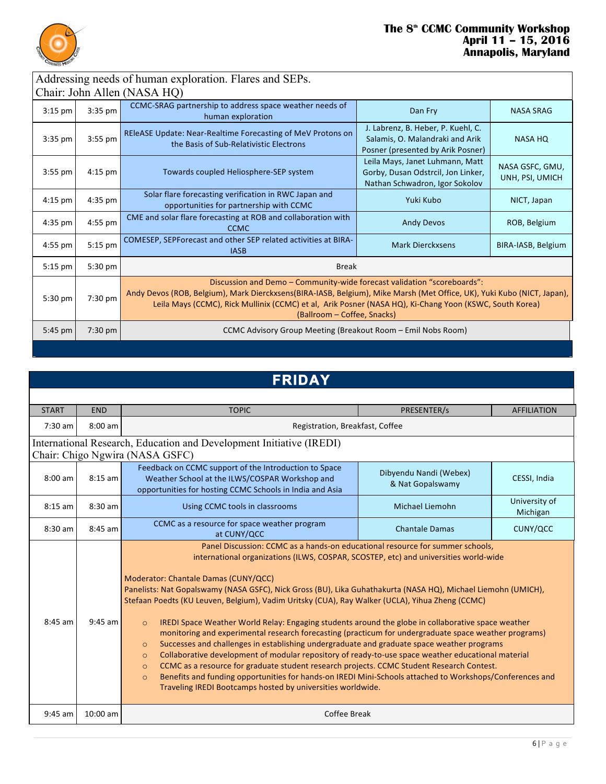



## Addressing needs of human exploration. Flares and SEPs. Chair: John Allen (NASA HQ)

| CCMC-SRAG partnership to address space weather needs of<br>$3:15$ pm<br>$3:35$ pm<br>Dan Fry<br>human exploration<br>J. Labrenz, B. Heber, P. Kuehl, C.<br>REIeASE Update: Near-Realtime Forecasting of MeV Protons on<br>$3:55$ pm<br>Salamis, O. Malandraki and Arik<br>$3:35$ pm<br><b>NASA HQ</b><br>the Basis of Sub-Relativistic Electrons<br>Posner (presented by Arik Posner)<br>Leila Mays, Janet Luhmann, Matt<br>Towards coupled Heliosphere-SEP system<br>$3:55$ pm<br>$4:15$ pm<br>Gorby, Dusan Odstrcil, Jon Linker,<br>Nathan Schwadron, Igor Sokolov<br>Solar flare forecasting verification in RWC Japan and<br>Yuki Kubo<br>$4:35$ pm<br>$4:15$ pm<br>opportunities for partnership with CCMC | Chair: John Allen (NASA HO) |  |                                                                                                                        |  |                                    |  |
|-----------------------------------------------------------------------------------------------------------------------------------------------------------------------------------------------------------------------------------------------------------------------------------------------------------------------------------------------------------------------------------------------------------------------------------------------------------------------------------------------------------------------------------------------------------------------------------------------------------------------------------------------------------------------------------------------------------------|-----------------------------|--|------------------------------------------------------------------------------------------------------------------------|--|------------------------------------|--|
|                                                                                                                                                                                                                                                                                                                                                                                                                                                                                                                                                                                                                                                                                                                 |                             |  |                                                                                                                        |  | <b>NASA SRAG</b>                   |  |
|                                                                                                                                                                                                                                                                                                                                                                                                                                                                                                                                                                                                                                                                                                                 |                             |  |                                                                                                                        |  |                                    |  |
|                                                                                                                                                                                                                                                                                                                                                                                                                                                                                                                                                                                                                                                                                                                 |                             |  |                                                                                                                        |  | NASA GSFC, GMU,<br>UNH, PSI, UMICH |  |
|                                                                                                                                                                                                                                                                                                                                                                                                                                                                                                                                                                                                                                                                                                                 |                             |  |                                                                                                                        |  | NICT, Japan                        |  |
| CME and solar flare forecasting at ROB and collaboration with<br>$4:55$ pm<br>$4:35$ pm<br><b>Andy Devos</b><br><b>CCMC</b>                                                                                                                                                                                                                                                                                                                                                                                                                                                                                                                                                                                     |                             |  |                                                                                                                        |  | ROB, Belgium                       |  |
| COMESEP, SEPForecast and other SEP related activities at BIRA-<br>$5:15$ pm<br>$4:55$ pm<br><b>Mark Dierckxsens</b><br><b>IASB</b>                                                                                                                                                                                                                                                                                                                                                                                                                                                                                                                                                                              |                             |  |                                                                                                                        |  | BIRA-IASB, Belgium                 |  |
| 5:15 pm<br>5:30 pm<br><b>Break</b>                                                                                                                                                                                                                                                                                                                                                                                                                                                                                                                                                                                                                                                                              |                             |  |                                                                                                                        |  |                                    |  |
| Discussion and Demo - Community-wide forecast validation "scoreboards":<br>5:30 pm<br>7:30 pm<br>Leila Mays (CCMC), Rick Mullinix (CCMC) et al, Arik Posner (NASA HQ), Ki-Chang Yoon (KSWC, South Korea)<br>(Ballroom – Coffee, Snacks)                                                                                                                                                                                                                                                                                                                                                                                                                                                                         |                             |  | Andy Devos (ROB, Belgium), Mark Dierckxsens(BIRA-IASB, Belgium), Mike Marsh (Met Office, UK), Yuki Kubo (NICT, Japan), |  |                                    |  |
| CCMC Advisory Group Meeting (Breakout Room – Emil Nobs Room)<br>5:45 pm<br>$7:30$ pm                                                                                                                                                                                                                                                                                                                                                                                                                                                                                                                                                                                                                            |                             |  |                                                                                                                        |  |                                    |  |

#### **FRIDAY**  START END TOPIC PRESENTER/s AFFILIATION 7:30 am 8:00 am 8:00 am 8:00 am 8:00 am 8:00 am 8:00 am 8:00 am 8:00 am 8:00 am 8:00 am 8:00 am 8:00 am 8:00 am 8:00 am 8:00 am 8:00 am 8:00 am 8:00 am 8:00 am 8:00 am 8:00 am 8:00 am 8:00 am 8:00 am 8:00 am 8:00 am 8:00 a International Research, Education and Development Initiative (IREDI) Chair: Chigo Ngwira (NASA GSFC)  $8:00$  am  $8:15$  am Feedback on CCMC support of the Introduction to Space Weather School at the ILWS/COSPAR Workshop and opportunities for hosting CCMC Schools in India and Asia Dibyendu Nandi (Webex) & Nat Gopalswamy CESSI, India 8:15 am 8:30 am Using CCMC tools in classrooms Michael Liemohn Bissity of Michigan 8:30 am  $\begin{array}{|l|l|} \hline \end{array}$  8:45 am CCMC as a resource for space weather program at CUNY/QCC at CUNY/QCC and CUNY/QCC at CUNY/QCC at CUNY/QCC 8:45 am 9:45 am Panel Discussion: CCMC as a hands-on educational resource for summer schools, international organizations (ILWS, COSPAR, SCOSTEP, etc) and universities world-wide Moderator: Chantale Damas (CUNY/QCC) Panelists: Nat Gopalswamy (NASA GSFC), Nick Gross (BU), Lika Guhathakurta (NASA HQ), Michael Liemohn (UMICH), Stefaan Poedts (KU Leuven, Belgium), Vadim Uritsky (CUA), Ray Walker (UCLA), Yihua Zheng (CCMC)  $\circ$  IREDI Space Weather World Relay: Engaging students around the globe in collaborative space weather monitoring and experimental research forecasting (practicum for undergraduate space weather programs) o Successes and challenges in establishing undergraduate and graduate space weather programs  $\circ$  Collaborative development of modular repository of ready-to-use space weather educational material o CCMC as a resource for graduate student research projects. CCMC Student Research Contest.  $\circ$  Benefits and funding opportunities for hands-on IREDI Mini-Schools attached to Workshops/Conferences and Traveling IREDI Bootcamps hosted by universities worldwide. 9:45 am | 10:00 am |  $\blacksquare$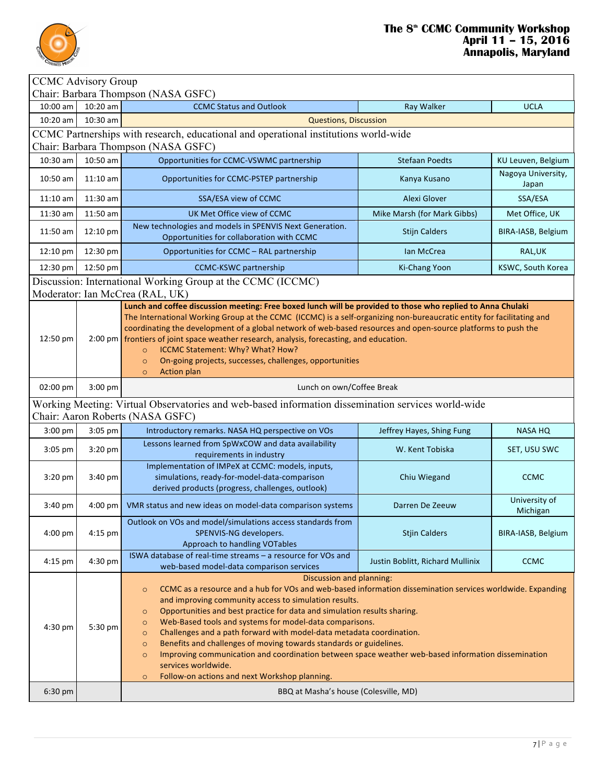

| <b>CCMC Advisory Group</b>                                                                                                             |                    |                                                                                                                                                                                                                                                                                                                                                                                                                                                                                                                                                                                                                                                                                                                                                 |                                  |                             |
|----------------------------------------------------------------------------------------------------------------------------------------|--------------------|-------------------------------------------------------------------------------------------------------------------------------------------------------------------------------------------------------------------------------------------------------------------------------------------------------------------------------------------------------------------------------------------------------------------------------------------------------------------------------------------------------------------------------------------------------------------------------------------------------------------------------------------------------------------------------------------------------------------------------------------------|----------------------------------|-----------------------------|
| Chair: Barbara Thompson (NASA GSFC)                                                                                                    |                    |                                                                                                                                                                                                                                                                                                                                                                                                                                                                                                                                                                                                                                                                                                                                                 |                                  |                             |
| 10:00 am                                                                                                                               | 10:20 am           | <b>CCMC Status and Outlook</b>                                                                                                                                                                                                                                                                                                                                                                                                                                                                                                                                                                                                                                                                                                                  | Ray Walker                       | <b>UCLA</b>                 |
| 10:20 am                                                                                                                               | 10:30 am           | <b>Questions, Discussion</b>                                                                                                                                                                                                                                                                                                                                                                                                                                                                                                                                                                                                                                                                                                                    |                                  |                             |
| CCMC Partnerships with research, educational and operational institutions world-wide<br>Chair: Barbara Thompson (NASA GSFC)            |                    |                                                                                                                                                                                                                                                                                                                                                                                                                                                                                                                                                                                                                                                                                                                                                 |                                  |                             |
| 10:30 am                                                                                                                               | 10:50 am           | Opportunities for CCMC-VSWMC partnership                                                                                                                                                                                                                                                                                                                                                                                                                                                                                                                                                                                                                                                                                                        | <b>Stefaan Poedts</b>            | KU Leuven, Belgium          |
| $10:50$ am                                                                                                                             | $11:10$ am         | Opportunities for CCMC-PSTEP partnership                                                                                                                                                                                                                                                                                                                                                                                                                                                                                                                                                                                                                                                                                                        | Kanya Kusano                     | Nagoya University,<br>Japan |
| $11:10$ am                                                                                                                             | 11:30 am           | SSA/ESA view of CCMC                                                                                                                                                                                                                                                                                                                                                                                                                                                                                                                                                                                                                                                                                                                            | Alexi Glover                     | SSA/ESA                     |
| 11:30 am                                                                                                                               | 11:50 am           | UK Met Office view of CCMC                                                                                                                                                                                                                                                                                                                                                                                                                                                                                                                                                                                                                                                                                                                      | Mike Marsh (for Mark Gibbs)      | Met Office, UK              |
| 11:50 am                                                                                                                               | $12:10 \text{ pm}$ | New technologies and models in SPENVIS Next Generation.<br>Opportunities for collaboration with CCMC                                                                                                                                                                                                                                                                                                                                                                                                                                                                                                                                                                                                                                            | <b>Stijn Calders</b>             | BIRA-IASB, Belgium          |
| 12:10 pm                                                                                                                               | 12:30 pm           | Opportunities for CCMC - RAL partnership                                                                                                                                                                                                                                                                                                                                                                                                                                                                                                                                                                                                                                                                                                        | Ian McCrea                       | RAL, UK                     |
| 12:30 pm                                                                                                                               | 12:50 pm           | <b>CCMC-KSWC</b> partnership                                                                                                                                                                                                                                                                                                                                                                                                                                                                                                                                                                                                                                                                                                                    | Ki-Chang Yoon                    | KSWC, South Korea           |
|                                                                                                                                        |                    | Discussion: International Working Group at the CCMC (ICCMC)                                                                                                                                                                                                                                                                                                                                                                                                                                                                                                                                                                                                                                                                                     |                                  |                             |
|                                                                                                                                        |                    | Moderator: Ian McCrea (RAL, UK)                                                                                                                                                                                                                                                                                                                                                                                                                                                                                                                                                                                                                                                                                                                 |                                  |                             |
| 12:50 pm                                                                                                                               |                    | Lunch and coffee discussion meeting: Free boxed lunch will be provided to those who replied to Anna Chulaki<br>The International Working Group at the CCMC (ICCMC) is a self-organizing non-bureaucratic entity for facilitating and<br>coordinating the development of a global network of web-based resources and open-source platforms to push the<br>2:00 pm   frontiers of joint space weather research, analysis, forecasting, and education.<br>ICCMC Statement: Why? What? How?<br>$\circ$<br>On-going projects, successes, challenges, opportunities<br>$\circ$<br><b>Action plan</b><br>$\circ$                                                                                                                                       |                                  |                             |
| 02:00 pm<br>$3:00$ pm<br>Lunch on own/Coffee Break                                                                                     |                    |                                                                                                                                                                                                                                                                                                                                                                                                                                                                                                                                                                                                                                                                                                                                                 |                                  |                             |
| Working Meeting: Virtual Observatories and web-based information dissemination services world-wide<br>Chair: Aaron Roberts (NASA GSFC) |                    |                                                                                                                                                                                                                                                                                                                                                                                                                                                                                                                                                                                                                                                                                                                                                 |                                  |                             |
| 3:00 pm                                                                                                                                | 3:05 pm            | Introductory remarks. NASA HQ perspective on VOs                                                                                                                                                                                                                                                                                                                                                                                                                                                                                                                                                                                                                                                                                                | Jeffrey Hayes, Shing Fung        | <b>NASA HQ</b>              |
| 3:05 pm                                                                                                                                | 3:20 pm            | Lessons learned from SpWxCOW and data availability<br>requirements in industry                                                                                                                                                                                                                                                                                                                                                                                                                                                                                                                                                                                                                                                                  | W. Kent Tobiska                  | SET, USU SWC                |
| 3:20 pm                                                                                                                                | $3:40$ pm          | Implementation of IMPeX at CCMC: models, inputs,<br>simulations, ready-for-model-data-comparison<br>derived products (progress, challenges, outlook)                                                                                                                                                                                                                                                                                                                                                                                                                                                                                                                                                                                            | Chiu Wiegand                     | <b>CCMC</b>                 |
| $3:40$ pm                                                                                                                              |                    | 4:00 pm   VMR status and new ideas on model-data comparison systems                                                                                                                                                                                                                                                                                                                                                                                                                                                                                                                                                                                                                                                                             | Darren De Zeeuw                  | University of<br>Michigan   |
| $4:00$ pm                                                                                                                              | $4:15$ pm          | Outlook on VOs and model/simulations access standards from<br>SPENVIS-NG developers.<br>Approach to handling VOTables                                                                                                                                                                                                                                                                                                                                                                                                                                                                                                                                                                                                                           | <b>Stjin Calders</b>             | BIRA-IASB, Belgium          |
| 4:15 pm                                                                                                                                | $4:30$ pm          | ISWA database of real-time streams - a resource for VOs and<br>web-based model-data comparison services                                                                                                                                                                                                                                                                                                                                                                                                                                                                                                                                                                                                                                         | Justin Boblitt, Richard Mullinix | <b>CCMC</b>                 |
| $4:30$ pm                                                                                                                              | 5:30 pm            | Discussion and planning:<br>CCMC as a resource and a hub for VOs and web-based information dissemination services worldwide. Expanding<br>$\circ$<br>and improving community access to simulation results.<br>Opportunities and best practice for data and simulation results sharing.<br>$\circ$<br>Web-Based tools and systems for model-data comparisons.<br>$\circ$<br>Challenges and a path forward with model-data metadata coordination.<br>$\circ$<br>Benefits and challenges of moving towards standards or guidelines.<br>$\circ$<br>Improving communication and coordination between space weather web-based information dissemination<br>$\circ$<br>services worldwide.<br>Follow-on actions and next Workshop planning.<br>$\circ$ |                                  |                             |
| 6:30 pm                                                                                                                                |                    | BBQ at Masha's house (Colesville, MD)                                                                                                                                                                                                                                                                                                                                                                                                                                                                                                                                                                                                                                                                                                           |                                  |                             |